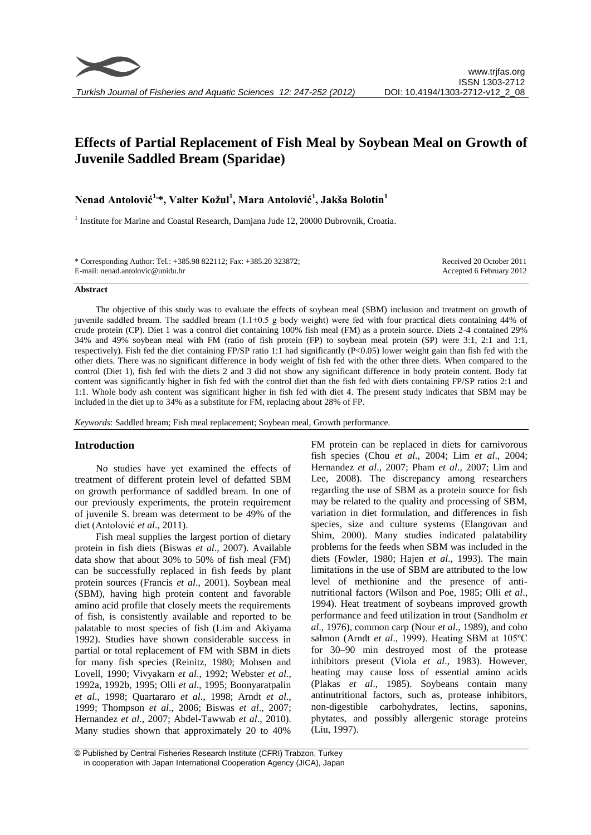# **Effects of Partial Replacement of Fish Meal by Soybean Meal on Growth of Juvenile Saddled Bream (Sparidae)**

## **Nenad Antolović1,\*, Valter Kožul<sup>1</sup> , Mara Antolović<sup>1</sup> , Jakša Bolotin<sup>1</sup>**

<sup>1</sup> Institute for Marine and Coastal Research, Damjana Jude 12, 20000 Dubrovnik, Croatia.

| * Corresponding Author: Tel.: +385.98 822112; Fax: +385.20 323872; | Received 20 October 2011 |
|--------------------------------------------------------------------|--------------------------|
| E-mail: nenad.antolovic@unidu.hr                                   | Accepted 6 February 2012 |
|                                                                    |                          |

#### **Abstract**

The objective of this study was to evaluate the effects of soybean meal (SBM) inclusion and treatment on growth of juvenile saddled bream. The saddled bream (1.1±0.5 g body weight) were fed with four practical diets containing 44% of crude protein (CP). Diet 1 was a control diet containing 100% fish meal (FM) as a protein source. Diets 2-4 contained 29% 34% and 49% soybean meal with FM (ratio of fish protein (FP) to soybean meal protein (SP) were 3:1, 2:1 and 1:1, respectively). Fish fed the diet containing FP/SP ratio 1:1 had significantly (P<0.05) lower weight gain than fish fed with the other diets. There was no significant difference in body weight of fish fed with the other three diets. When compared to the control (Diet 1), fish fed with the diets 2 and 3 did not show any significant difference in body protein content. Body fat content was significantly higher in fish fed with the control diet than the fish fed with diets containing FP/SP ratios 2:1 and 1:1. Whole body ash content was significant higher in fish fed with diet 4. The present study indicates that SBM may be included in the diet up to 34% as a substitute for FM, replacing about 28% of FP.

*Keywords*: Saddled bream; Fish meal replacement; Soybean meal, Growth performance.

## **Introduction**

No studies have yet examined the effects of treatment of different protein level of defatted SBM on growth performance of saddled bream. In one of our previously experiments, the protein requirement of juvenile S. bream was determent to be 49% of the diet (Antolović *et al*., 2011).

Fish meal supplies the largest portion of dietary protein in fish diets (Biswas *et al*., 2007). Available data show that about 30% to 50% of fish meal (FM) can be successfully replaced in fish feeds by plant protein sources (Francis *et al*., 2001). Soybean meal (SBM), having high protein content and favorable amino acid profile that closely meets the requirements of fish, is consistently available and reported to be palatable to most species of fish (Lim and Akiyama 1992). Studies have shown considerable success in partial or total replacement of FM with SBM in diets for many fish species (Reinitz, 1980; Mohsen and Lovell, 1990; Vivyakarn *et al*., 1992; Webster *et al*., 1992a, 1992b, 1995; Olli *et al*., 1995; Boonyaratpalin *et al*., 1998; Quartararo *et al*., 1998; Arndt *et al*., 1999; Thompson *et al*., 2006; Biswas *et al*., 2007; Hernandez *et al*., 2007; Abdel-Tawwab *et al*., 2010). Many studies shown that approximately 20 to 40%

FM protein can be replaced in diets for carnivorous fish species (Chou *et al*., 2004; Lim *et al*., 2004; Hernandez *et al*., 2007; Pham *et al*., 2007; Lim and Lee, 2008). The discrepancy among researchers regarding the use of SBM as a protein source for fish may be related to the quality and processing of SBM, variation in diet formulation, and differences in fish species, size and culture systems (Elangovan and Shim, 2000). Many studies indicated palatability problems for the feeds when SBM was included in the diets (Fowler, 1980; Hajen *et al*., 1993). The main limitations in the use of SBM are attributed to the low level of methionine and the presence of antinutritional factors (Wilson and Poe, 1985; Olli *et al*., 1994). Heat treatment of soybeans improved growth performance and feed utilization in trout (Sandholm *et al*., 1976), common carp (Nour *et al*., 1989), and coho salmon (Arndt *et al*., 1999). Heating SBM at 105ºC for 30–90 min destroyed most of the protease inhibitors present (Viola *et al*., 1983). However, heating may cause loss of essential amino acids (Plakas *et al*., 1985). Soybeans contain many antinutritional factors, such as, protease inhibitors, non-digestible carbohydrates, lectins, saponins, phytates, and possibly allergenic storage proteins (Liu, 1997).

<sup>©</sup> Published by Central Fisheries Research Institute (CFRI) Trabzon, Turkey in cooperation with Japan International Cooperation Agency (JICA), Japan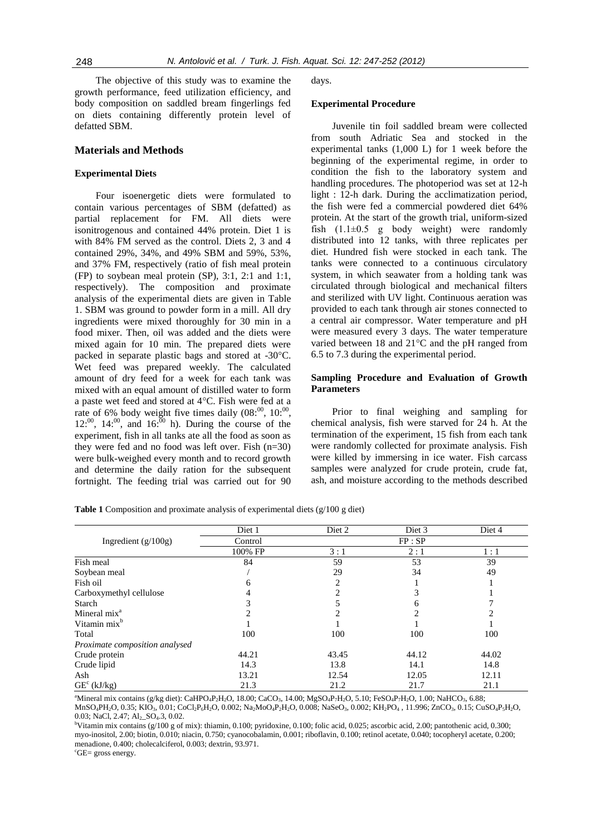The objective of this study was to examine the growth performance, feed utilization efficiency, and body composition on saddled bream fingerlings fed on diets containing differently protein level of defatted SBM.

### **Materials and Methods**

#### **Experimental Diets**

Four isoenergetic diets were formulated to contain various percentages of SBM (defatted) as partial replacement for FM. All diets were isonitrogenous and contained 44% protein. Diet 1 is with 84% FM served as the control. Diets 2, 3 and 4 contained 29%, 34%, and 49% SBM and 59%, 53%, and 37% FM, respectively (ratio of fish meal protein (FP) to soybean meal protein (SP), 3:1, 2:1 and 1:1, respectively). The composition and proximate analysis of the experimental diets are given in Table 1. SBM was ground to powder form in a mill. All dry ingredients were mixed thoroughly for 30 min in a food mixer. Then, oil was added and the diets were mixed again for 10 min. The prepared diets were packed in separate plastic bags and stored at -30°C. Wet feed was prepared weekly. The calculated amount of dry feed for a week for each tank was mixed with an equal amount of distilled water to form a paste wet feed and stored at 4°C. Fish were fed at a rate of 6% body weight five times daily  $(08^{00}, 10^{00},$  $12^{00}$ ,  $14^{00}$ , and  $16^{00}$  h). During the course of the experiment, fish in all tanks ate all the food as soon as they were fed and no food was left over. Fish (n=30) were bulk-weighed every month and to record growth and determine the daily ration for the subsequent fortnight. The feeding trial was carried out for 90

days.

#### **Experimental Procedure**

Juvenile tin foil saddled bream were collected from south Adriatic Sea and stocked in the experimental tanks (1,000 L) for 1 week before the beginning of the experimental regime, in order to condition the fish to the laboratory system and handling procedures. The photoperiod was set at 12-h light : 12-h dark. During the acclimatization period, the fish were fed a commercial powdered diet 64% protein. At the start of the growth trial, uniform-sized fish  $(1.1\pm0.5 \text{ g}$  body weight) were randomly distributed into 12 tanks, with three replicates per diet. Hundred fish were stocked in each tank. The tanks were connected to a continuous circulatory system, in which seawater from a holding tank was circulated through biological and mechanical filters and sterilized with UV light. Continuous aeration was provided to each tank through air stones connected to a central air compressor. Water temperature and pH were measured every 3 days. The water temperature varied between 18 and 21°C and the pH ranged from 6.5 to 7.3 during the experimental period.

#### **Sampling Procedure and Evaluation of Growth Parameters**

Prior to final weighing and sampling for chemical analysis, fish were starved for 24 h. At the termination of the experiment, 15 fish from each tank were randomly collected for proximate analysis. Fish were killed by immersing in ice water. Fish carcass samples were analyzed for crude protein, crude fat, ash, and moisture according to the methods described

**Table 1** Composition and proximate analysis of experimental diets (g/100 g diet)

|                                | Diet 1  | Diet 2 | Diet 3 | Diet 4 |
|--------------------------------|---------|--------|--------|--------|
| Ingredient $(g/100g)$          | Control |        | FP:SP  |        |
|                                | 100% FP | 3:1    | 2:1    | 1:1    |
| Fish meal                      | 84      | 59     | 53     | 39     |
| Soybean meal                   |         | 29     | 34     | 49     |
| Fish oil                       | 6       |        |        |        |
| Carboxymethyl cellulose        |         |        | 3      |        |
| Starch                         |         |        | 6      |        |
| Mineral mix <sup>a</sup>       |         |        | ◠      |        |
| Vitamin mix <sup>b</sup>       |         |        |        |        |
| Total                          | 100     | 100    | 100    | 100    |
| Proximate composition analysed |         |        |        |        |
| Crude protein                  | 44.21   | 43.45  | 44.12  | 44.02  |
| Crude lipid                    | 14.3    | 13.8   | 14.1   | 14.8   |
| Ash                            | 13.21   | 12.54  | 12.05  | 12.11  |
| $GE^c$ (kJ/kg)                 | 21.3    | 21.2   | 21.7   | 21.1   |

<sup>a</sup>Mineral mix contains (g/kg diet): CaHPO<sub>4</sub>P<sub>2</sub>H<sub>2</sub>O, 18.00; CaCO<sub>3</sub>, 14.00; MgSO<sub>4</sub>P<sub>7</sub>H<sub>2</sub>O, 5.10; FeSO<sub>4</sub>P<sub>7</sub>H<sub>2</sub>O, 1.00; NaHCO<sub>3</sub>, 6.88; MnSO<sub>4</sub>PH<sub>2</sub>O, 0.35; KIO<sub>3</sub>, 0.01; CoCl<sub>2</sub>P<sub>6</sub>H<sub>2</sub>O, 0.002; Na<sub>2</sub>MoO<sub>4</sub>P<sub>2</sub>H<sub>2</sub>O, 0.008; NaSeO<sub>3</sub>, 0.002; KH<sub>2</sub>PO<sub>4</sub>, 11.996; ZnCO<sub>3</sub>, 0.15; CuSO<sub>4</sub>P<sub>5</sub>H<sub>2</sub>O, 0.03; NaCl, 2.47; Al<sub>2</sub>\_SO<sub>4</sub>.3, 0.02.

<sup>b</sup>Vitamin mix contains (g/100 g of mix): thiamin, 0.100; pyridoxine, 0.100; folic acid, 0.025; ascorbic acid, 2.00; pantothenic acid, 0.300; myo-inositol, 2.00; biotin, 0.010; niacin, 0.750; cyanocobalamin, 0.001; riboflavin, 0.100; retinol acetate, 0.040; tocopheryl acetate, 0.200; menadione, 0.400; cholecalciferol, 0.003; dextrin, 93.971.

<sup>c</sup>GE= gross energy.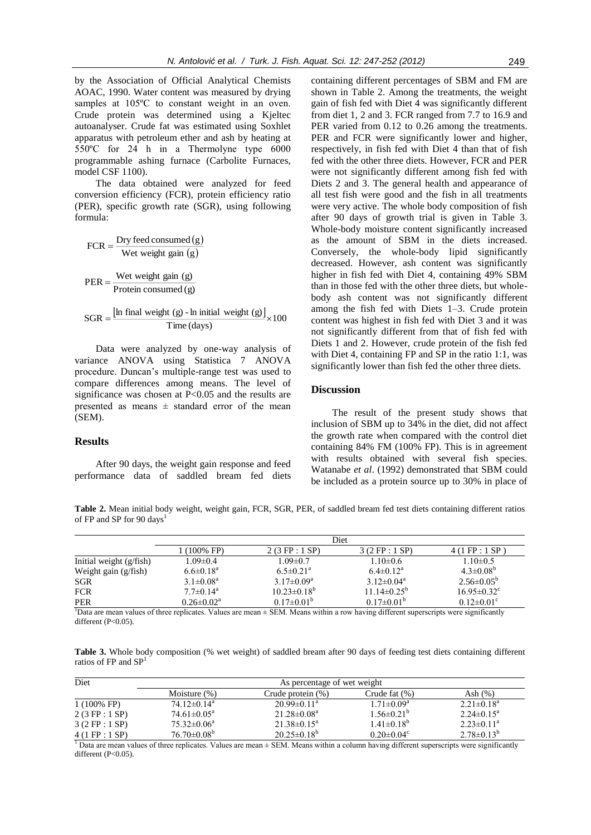by the Association of Official Analytical Chemists AOAC, 1990. Water content was measured by drying samples at  $105^{\circ}$ C to constant weight in an oven. Crude protein was determined using a Kjeltec autoanalyser. Crude fat was estimated using Soxhlet apparatus with petroleum ether and ash by heating at 550ºC for 24 h in a Thermolyne type 6000 programmable ashing furnace (Carbolite Furnaces, model CSF 1100).

The data obtained were analyzed for feed conversion efficiency (FCR), protein efficiency ratio (PER), specific growth rate (SGR), using following formula:

$$
FCR = \frac{Dry \text{ feed consumed} (g)}{ Wet \text{ weight gain} (g)}
$$

$$
PER = \frac{Wet \text{ weight gain} (g)}{Protein consumed (g)}
$$

$$
SGR = \frac{\left[\text{In final weight (g) - In initial weight (g)}\right]}{\text{Time (days)}} \times 100
$$

Data were analyzed by one-way analysis of variance ANOVA using Statistica 7 ANOVA procedure. Duncan's multiple-range test was used to compare differences among means. The level of significance was chosen at P<0.05 and the results are presented as means  $\pm$  standard error of the mean (SEM).

## **Results**

After 90 days, the weight gain response and feed performance data of saddled bream fed diets

containing different percentages of SBM and FM are shown in Table 2. Among the treatments, the weight gain of fish fed with Diet 4 was significantly different from diet 1, 2 and 3. FCR ranged from 7.7 to 16.9 and PER varied from 0.12 to 0.26 among the treatments. PER and FCR were significantly lower and higher, respectively, in fish fed with Diet 4 than that of fish fed with the other three diets. However, FCR and PER were not significantly different among fish fed with Diets 2 and 3. The general health and appearance of all test fish were good and the fish in all treatments were very active. The whole body composition of fish after 90 days of growth trial is given in Table 3. Whole-body moisture content significantly increased as the amount of SBM in the diets increased. Conversely, the whole-body lipid significantly decreased. However, ash content was significantly higher in fish fed with Diet 4, containing 49% SBM than in those fed with the other three diets, but wholebody ash content was not significantly different among the fish fed with Diets 1–3. Crude protein content was highest in fish fed with Diet 3 and it was not significantly different from that of fish fed with Diets 1 and 2. However, crude protein of the fish fed with Diet 4, containing FP and SP in the ratio 1:1, was significantly lower than fish fed the other three diets.

### **Discussion**

The result of the present study shows that inclusion of SBM up to 34% in the diet, did not affect the growth rate when compared with the control diet containing 84% FM (100% FP). This is in agreement with results obtained with several fish species. Watanabe *et al*. (1992) demonstrated that SBM could be included as a protein source up to 30% in place of

**Table 2.** Mean initial body weight, weight gain, FCR, SGR, PER, of saddled bream fed test diets containing different ratios of FP and SP for 90 days<sup>1</sup>

|                           | Diet                        |                             |                         |                                |
|---------------------------|-----------------------------|-----------------------------|-------------------------|--------------------------------|
|                           | l (100% FP)                 | 2(3 FP:1 SP)                | 3(2 FP:1 SP)            | $4(1$ FP : $1$ SP              |
| Initial weight $(g/fish)$ | $1.09 \pm 0.4$              | $1.09 \pm 0.7$              | $1.10\pm0.6$            | $1.10 \pm 0.5$                 |
| Weight gain $(g/fish)$    | $6.6 \pm 0.18^a$            | $6.5 \pm 0.21$ <sup>a</sup> | $6.4 \pm 0.12^a$        | $4.3 \pm 0.08^b$               |
| SGR.                      | $3.1 \pm 0.08^a$            | $3.17 \pm 0.09^a$           | $3.12 \pm 0.04^a$       | $2.56 \pm 0.05^b$              |
| <b>FCR</b>                | $7.7 \pm 0.14$ <sup>a</sup> | $10.23 \pm 0.18^b$          | $11.14\pm0.25^{\rm b}$  | $16.95 \pm 0.32$ °             |
| <b>PER</b>                | $0.26 \pm 0.02^a$           | $0.17 \pm 0.01^b$           | $0.17 \pm 0.01^{\rm b}$ | $0.12 \pm 0.01$ <sup>c</sup>   |
| $1 -$<br>$\sim$ $\sim$    | .                           | $\cdots$                    | $\cdots$                | $\cdot$ $\cdot$ $\sim$ $\cdot$ |

<sup>1</sup>Data are mean values of three replicates. Values are mean  $\pm$  SEM. Means within a row having different superscripts were significantly different  $(P<0.05)$ .

**Table 3.** Whole body composition (% wet weight) of saddled bream after 90 days of feeding test diets containing different ratios of FP and  $SP<sup>1</sup>$ 

| Diet                  | As percentage of wet weight |                             |                              |                   |
|-----------------------|-----------------------------|-----------------------------|------------------------------|-------------------|
|                       | Moisture $(\%)$             | Crude protein $(\%)$        | Crude fat $(\%)$             | Ash $(\%)$        |
| $1(100\% \text{ FP})$ | $74.12\pm0.14^a$            | $20.99 \pm 0.11^{\text{a}}$ | $1.71 \pm 0.09^{\text{a}}$   | $2.21 \pm 0.18^a$ |
| 2(3 FP:1 SP)          | $74.61 \pm 0.05^{\text{a}}$ | $21.28 \pm 0.08^a$          | $1.56 \pm 0.21^b$            | $2.24 \pm 0.15^a$ |
| 3(2 FP:1 SP)          | $75.32\pm0.06^a$            | $21.38 \pm 0.15^a$          | $1.41 \pm 0.18^{b}$          | $2.23 \pm 0.11^a$ |
| 4(1 FP:1 SP)          | $76.70\pm0.08^b$            | $20.25 \pm 0.18^b$          | $0.20 \pm 0.04$ <sup>c</sup> | $2.78\pm0.13^{b}$ |

 $1$  Data are mean values of three replicates. Values are mean  $\pm$  SEM. Means within a column having different superscripts were significantly different (P<0.05).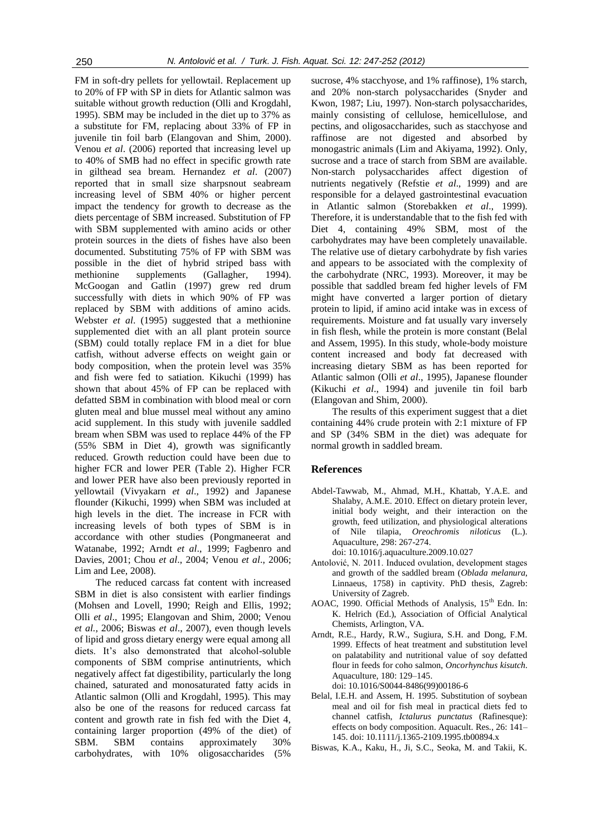FM in soft-dry pellets for yellowtail. Replacement up to 20% of FP with SP in diets for Atlantic salmon was suitable without growth reduction (Olli and Krogdahl, 1995). SBM may be included in the diet up to 37% as a substitute for FM, replacing about 33% of FP in juvenile tin foil barb (Elangovan and Shim, 2000). Venou *et al*. (2006) reported that increasing level up to 40% of SMB had no effect in specific growth rate in gilthead sea bream. Hernandez *et al*. (2007) reported that in small size sharpsnout seabream increasing level of SBM 40% or higher percent impact the tendency for growth to decrease as the diets percentage of SBM increased. Substitution of FP with SBM supplemented with amino acids or other protein sources in the diets of fishes have also been documented. Substituting 75% of FP with SBM was possible in the diet of hybrid striped bass with methionine supplements (Gallagher, 1994). McGoogan and Gatlin (1997) grew red drum successfully with diets in which 90% of FP was replaced by SBM with additions of amino acids. Webster *et al*. (1995) suggested that a methionine supplemented diet with an all plant protein source (SBM) could totally replace FM in a diet for blue catfish, without adverse effects on weight gain or body composition, when the protein level was 35% and fish were fed to satiation. Kikuchi (1999) has shown that about 45% of FP can be replaced with defatted SBM in combination with blood meal or corn gluten meal and blue mussel meal without any amino acid supplement. In this study with juvenile saddled bream when SBM was used to replace 44% of the FP (55% SBM in Diet 4), growth was significantly reduced. Growth reduction could have been due to higher FCR and lower PER (Table 2). Higher FCR and lower PER have also been previously reported in yellowtail (Vivyakarn *et al*., 1992) and Japanese flounder (Kikuchi, 1999) when SBM was included at high levels in the diet. The increase in FCR with increasing levels of both types of SBM is in accordance with other studies (Pongmaneerat and Watanabe, 1992; Arndt *et al*., 1999; Fagbenro and Davies, 2001; Chou *et al*., 2004; Venou *et al*., 2006; Lim and Lee, 2008).

The reduced carcass fat content with increased SBM in diet is also consistent with earlier findings (Mohsen and Lovell, 1990; Reigh and Ellis, 1992; Olli *et al*., 1995; Elangovan and Shim, 2000; Venou *et al.*, 2006; Biswas *et al*., 2007), even though levels of lipid and gross dietary energy were equal among all diets. It's also demonstrated that alcohol-soluble components of SBM comprise antinutrients, which negatively affect fat digestibility, particularly the long chained, saturated and monosaturated fatty acids in Atlantic salmon (Olli and Krogdahl, 1995). This may also be one of the reasons for reduced carcass fat content and growth rate in fish fed with the Diet 4, containing larger proportion (49% of the diet) of SBM. SBM contains approximately 30% carbohydrates, with 10% oligosaccharides (5%

sucrose, 4% stacchyose, and 1% raffinose), 1% starch, and 20% non-starch polysaccharides (Snyder and Kwon, 1987; Liu, 1997). Non-starch polysaccharides, mainly consisting of cellulose, hemicellulose, and pectins, and oligosaccharides, such as stacchyose and raffinose are not digested and absorbed by monogastric animals (Lim and Akiyama, 1992). Only, sucrose and a trace of starch from SBM are available. Non-starch polysaccharides affect digestion of nutrients negatively (Refstie *et al*., 1999) and are responsible for a delayed gastrointestinal evacuation in Atlantic salmon (Storebakken *et al*., 1999). Therefore, it is understandable that to the fish fed with Diet 4, containing 49% SBM, most of the carbohydrates may have been completely unavailable. The relative use of dietary carbohydrate by fish varies and appears to be associated with the complexity of the carbohydrate (NRC, 1993). Moreover, it may be possible that saddled bream fed higher levels of FM might have converted a larger portion of dietary protein to lipid, if amino acid intake was in excess of requirements. Moisture and fat usually vary inversely in fish flesh, while the protein is more constant (Belal and Assem, 1995). In this study, whole-body moisture content increased and body fat decreased with increasing dietary SBM as has been reported for Atlantic salmon (Olli *et al*., 1995), Japanese flounder (Kikuchi *et al*., 1994) and juvenile tin foil barb (Elangovan and Shim, 2000).

The results of this experiment suggest that a diet containing 44% crude protein with 2:1 mixture of FP and SP (34% SBM in the diet) was adequate for normal growth in saddled bream.

#### **References**

Abdel-Tawwab, M., Ahmad, M.H., Khattab, Y.A.E. and Shalaby, A.M.E. 2010. Effect on dietary protein lever, initial body weight, and their interaction on the growth, feed utilization, and physiological alterations of Nile tilapia, *Oreochromis niloticus* (L.). Aquaculture, 298: 267-274.

doi: 10.1016/j.aquaculture.2009.10.027

- Antolović, N. 2011. Induced ovulation, development stages and growth of the saddled bream (*Oblada melanura*, Linnaeus, 1758) in captivity. PhD thesis, Zagreb: University of Zagreb.
- AOAC, 1990. Official Methods of Analysis,  $15<sup>th</sup>$  Edn. In: K. Helrich (Ed.), Association of Official Analytical Chemists, Arlington, VA.
- Arndt, R.E., Hardy, R.W., Sugiura, S.H. and Dong, F.M. 1999. Effects of heat treatment and substitution level on palatability and nutritional value of soy defatted flour in feeds for coho salmon, *Oncorhynchus kisutch*. Aquaculture, 180: 129–145. doi: 10.1016/S0044-8486(99)00186-6
- Belal, I.E.H. and Assem, H. 1995. Substitution of soybean meal and oil for fish meal in practical diets fed to channel catfish, *Ictalurus punctatus* (Rafinesque): effects on body composition. Aquacult. Res., 26: 141– 145. doi: 10.1111/j.1365-2109.1995.tb00894.x
- Biswas, K.A., Kaku, H., Ji, S.C., Seoka, M. and Takii, K.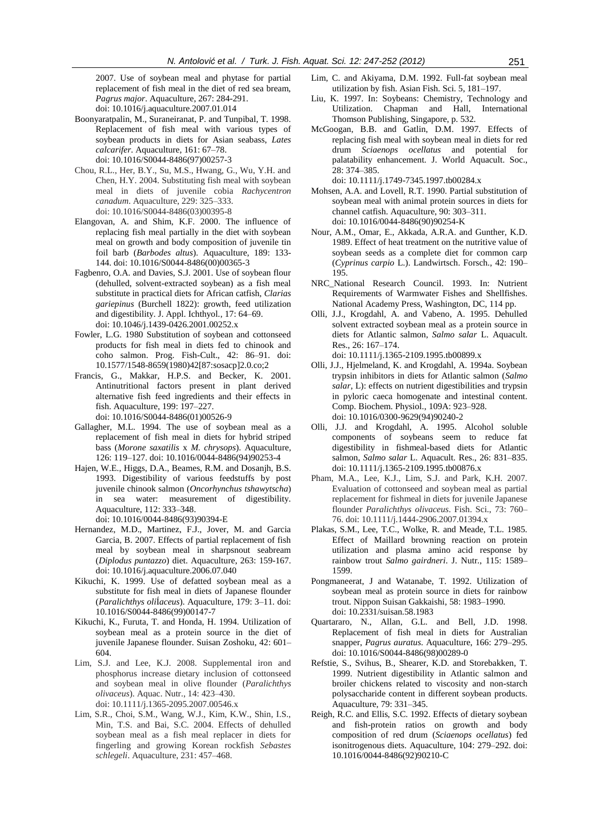2007. Use of soybean meal and phytase for partial replacement of fish meal in the diet of red sea bream, *Pagrus major*. Aquaculture, 267: 284-291. doi: 10.1016/j.aquaculture.2007.01.014

- Boonyaratpalin, M., Suraneiranat, P. and Tunpibal, T. 1998. Replacement of fish meal with various types of soybean products in diets for Asian seabass, *Lates calcarifer*. Aquaculture, 161: 67–78. doi: 10.1016/S0044-8486(97)00257-3
- Chou, R.L., Her, B.Y., Su, M.S., Hwang, G., Wu, Y.H. and Chen, H.Y. 2004. Substituting fish meal with soybean meal in diets of juvenile cobia *Rachycentron canadum*. Aquaculture, 229: 325–333. doi: 10.1016/S0044-8486(03)00395-8
- Elangovan, A. and Shim, K.F. 2000. The influence of replacing fish meal partially in the diet with soybean meal on growth and body composition of juvenile tin foil barb (*Barbodes altus*). Aquaculture, 189: 133- 144. doi: 10.1016/S0044-8486(00)00365-3
- Fagbenro, O.A. and Davies, S.J. 2001. Use of soybean flour (dehulled, solvent-extracted soybean) as a fish meal substitute in practical diets for African catfish, *Clarias gariepinus* (Burchell 1822): growth, feed utilization and digestibility. J. Appl. Ichthyol., 17: 64–69. doi: 10.1046/j.1439-0426.2001.00252.x
- Fowler, L.G. 1980 Substitution of soybean and cottonseed products for fish meal in diets fed to chinook and coho salmon. Prog. Fish-Cult., 42: 86–91. doi: 10.1577/1548-8659(1980)42[87:sosacp]2.0.co;2
- Francis, G., Makkar, H.P.S. and Becker, K. 2001. Antinutritional factors present in plant derived alternative fish feed ingredients and their effects in fish. Aquaculture, 199: 197–227.

doi: 10.1016/S0044-8486(01)00526-9

- Gallagher, M.L. 1994. The use of soybean meal as a replacement of fish meal in diets for hybrid striped bass (*Morone saxatilis* x *M. chrysops*). Aquaculture, 126: 119–127. doi: 10.1016/0044-8486(94)90253-4
- Hajen, W.E., Higgs, D.A., Beames, R.M. and Dosanjh, B.S. 1993. Digestibility of various feedstuffs by post juvenile chinook salmon (*Oncorhynchus tshawytscha*) in sea water: measurement of digestibility. Aquaculture, 112: 333–348. doi: 10.1016/0044-8486(93)90394-E
- Hernandez, M.D., Martinez, F.J., Jover, M. and Garcia Garcia, B. 2007. Effects of partial replacement of fish meal by soybean meal in sharpsnout seabream (*Diplodus puntazzo*) diet. Aquaculture, 263: 159-167. doi: 10.1016/j.aquaculture.2006.07.040
- Kikuchi, K. 1999. Use of defatted soybean meal as a substitute for fish meal in diets of Japanese flounder (*Paralichthys oli*Í*aceus*). Aquaculture, 179: 3–11. doi: 10.1016/S0044-8486(99)00147-7
- Kikuchi, K., Furuta, T. and Honda, H. 1994. Utilization of soybean meal as a protein source in the diet of juvenile Japanese flounder. Suisan Zoshoku, 42: 601– 604.
- Lim, S.J. and Lee, K.J. 2008. Supplemental iron and phosphorus increase dietary inclusion of cottonseed and soybean meal in olive flounder (*Paralichthys olivaceus*). Aquac. Nutr., 14: 423–430. doi: 10.1111/j.1365-2095.2007.00546.x
- Lim, S.R., Choi, S.M., Wang, W.J., Kim, K.W., Shin, I.S., Min, T.S. and Bai, S.C. 2004. Effects of dehulled soybean meal as a fish meal replacer in diets for fingerling and growing Korean rockfish *Sebastes schlegeli*. Aquaculture, 231: 457–468.
- Lim, C. and Akiyama, D.M. 1992. Full-fat soybean meal utilization by fish. Asian Fish. Sci. 5, 181–197.
- Liu, K. 1997. In: Soybeans: Chemistry, Technology and Utilization. Chapman and Hall, International Thomson Publishing, Singapore, p. 532.
- McGoogan, B.B. and Gatlin, D.M. 1997. Effects of replacing fish meal with soybean meal in diets for red drum *Sciaenops ocellatus* and potential for palatability enhancement. J. World Aquacult. Soc., 28: 374–385.

doi: 10.1111/j.1749-7345.1997.tb00284.x

- Mohsen, A.A. and Lovell, R.T. 1990. Partial substitution of soybean meal with animal protein sources in diets for channel catfish. Aquaculture, 90: 303–311. doi: 10.1016/0044-8486(90)90254-K
- Nour, A.M., Omar, E., Akkada, A.R.A. and Gunther, K.D. 1989. Effect of heat treatment on the nutritive value of soybean seeds as a complete diet for common carp (*Cyprinus carpio* L.). Landwirtsch. Forsch., 42: 190– 195.
- NRC\_National Research Council. 1993. In: Nutrient Requirements of Warmwater Fishes and Shellfishes. National Academy Press, Washington, DC, 114 pp.
- Olli, J.J., Krogdahl, A. and Vabeno, A. 1995. Dehulled solvent extracted soybean meal as a protein source in diets for Atlantic salmon, *Salmo salar* L. Aquacult. Res., 26: 167–174.

doi: 10.1111/j.1365-2109.1995.tb00899.x

- Olli, J.J., Hjelmeland, K. and Krogdahl, A. 1994a. Soybean trypsin inhibitors in diets for Atlantic salmon (*Salmo salar*, L): effects on nutrient digestibilities and trypsin in pyloric caeca homogenate and intestinal content. Comp. Biochem. Physiol., 109A: 923–928. doi: 10.1016/0300-9629(94)90240-2
- Olli, J.J. and Krogdahl, A. 1995. Alcohol soluble components of soybeans seem to reduce fat digestibility in fishmeal-based diets for Atlantic salmon, *Salmo salar* L. Aquacult. Res., 26: 831–835. doi: 10.1111/j.1365-2109.1995.tb00876.x
- Pham, M.A., Lee, K.J., Lim, S.J. and Park, K.H. 2007. Evaluation of cottonseed and soybean meal as partial replacement for fishmeal in diets for juvenile Japanese flounder *Paralichthys olivaceus*. Fish. Sci., 73: 760– 76. doi: 10.1111/j.1444-2906.2007.01394.x
- Plakas, S.M., Lee, T.C., Wolke, R. and Meade, T.L. 1985. Effect of Maillard browning reaction on protein utilization and plasma amino acid response by rainbow trout *Salmo gairdneri*. J. Nutr., 115: 1589– 1599.
- Pongmaneerat, J and Watanabe, T. 1992. Utilization of soybean meal as protein source in diets for rainbow trout. Nippon Suisan Gakkaishi, 58: 1983–1990. doi: 10.2331/suisan.58.1983
- Quartararo, N., Allan, G.L. and Bell, J.D. 1998. Replacement of fish meal in diets for Australian snapper, *Pagrus auratus*. Aquaculture, 166: 279–295. doi: 10.1016/S0044-8486(98)00289-0
- Refstie, S., Svihus, B., Shearer, K.D. and Storebakken, T. 1999. Nutrient digestibility in Atlantic salmon and broiler chickens related to viscosity and non-starch polysaccharide content in different soybean products. Aquaculture, 79: 331–345.
- Reigh, R.C. and Ellis, S.C. 1992. Effects of dietary soybean and fish-protein ratios on growth and body composition of red drum (*Sciaenops ocellatus*) fed isonitrogenous diets. Aquaculture, 104: 279–292. doi: 10.1016/0044-8486(92)90210-C